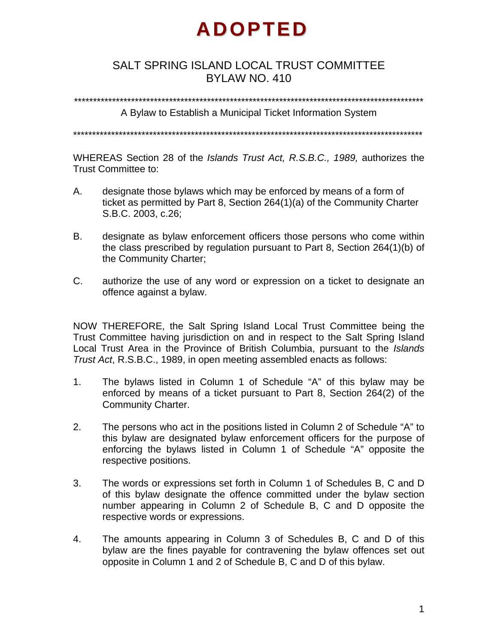# **ADOPTED**

## SALT SPRING ISLAND LOCAL TRUST COMMITTEE BYLAW NO. 410

\*\*\*\*\*\*\*\*\*\*\*\*\*\*\*\*\*\*\*\*\*\*\*\*\*\*\*\*\*\*\*\*\*\*\*\*\*\*\*\*\*\*\*\*\*\*\*\*\*\*\*\*\*\*\*\*\*\*\*\*\*\*\*\*\*\*\*\*\*\*\*\*\*\*\*\*\*\*\*\*\*\*\*\*\*\*\*\*\*\*\*\*

A Bylaw to Establish a Municipal Ticket Information System

\*\*\*\*\*\*\*\*\*\*\*\*\*\*\*\*\*\*\*\*\*\*\*\*\*\*\*\*\*\*\*\*\*\*\*\*\*\*\*\*\*\*\*\*\*\*\*\*\*\*\*\*\*\*\*\*\*\*\*\*\*\*\*\*\*\*\*\*\*\*\*\*\*\*\*\*\*\*\*\*\*\*\*\*\*\*\*\*\*\*\*\*

WHEREAS Section 28 of the *Islands Trust Act, R.S.B.C., 1989,* authorizes the Trust Committee to:

- A. designate those bylaws which may be enforced by means of a form of ticket as permitted by Part 8, Section 264(1)(a) of the Community Charter S.B.C. 2003, c.26;
- B. designate as bylaw enforcement officers those persons who come within the class prescribed by regulation pursuant to Part 8, Section 264(1)(b) of the Community Charter;
- C. authorize the use of any word or expression on a ticket to designate an offence against a bylaw.

NOW THEREFORE, the Salt Spring Island Local Trust Committee being the Trust Committee having jurisdiction on and in respect to the Salt Spring Island Local Trust Area in the Province of British Columbia, pursuant to the *Islands Trust Act*, R.S.B.C., 1989, in open meeting assembled enacts as follows:

- 1. The bylaws listed in Column 1 of Schedule "A" of this bylaw may be enforced by means of a ticket pursuant to Part 8, Section 264(2) of the Community Charter.
- 2. The persons who act in the positions listed in Column 2 of Schedule "A" to this bylaw are designated bylaw enforcement officers for the purpose of enforcing the bylaws listed in Column 1 of Schedule "A" opposite the respective positions.
- 3. The words or expressions set forth in Column 1 of Schedules B, C and D of this bylaw designate the offence committed under the bylaw section number appearing in Column 2 of Schedule B, C and D opposite the respective words or expressions.
- 4. The amounts appearing in Column 3 of Schedules B, C and D of this bylaw are the fines payable for contravening the bylaw offences set out opposite in Column 1 and 2 of Schedule B, C and D of this bylaw.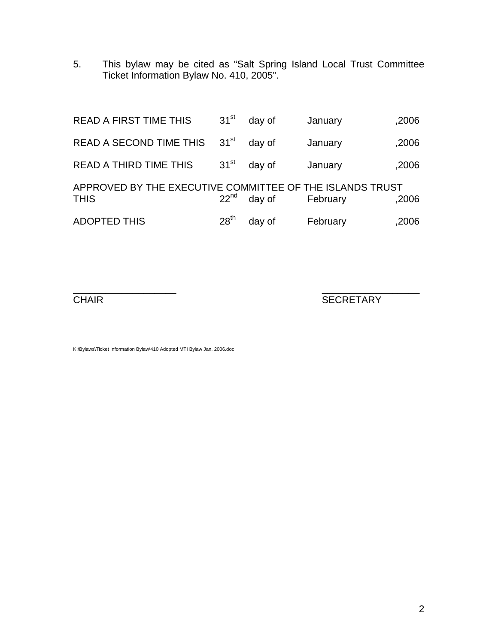5. This bylaw may be cited as "Salt Spring Island Local Trust Committee Ticket Information Bylaw No. 410, 2005".

| <b>READ A FIRST TIME THIS</b>                                           | 31 <sup>st</sup> | day of | January  | ,2006 |
|-------------------------------------------------------------------------|------------------|--------|----------|-------|
| READ A SECOND TIME THIS                                                 | $31^{\rm st}$    | day of | January  | ,2006 |
| <b>READ A THIRD TIME THIS</b>                                           | 31 <sup>st</sup> | day of | January  | ,2006 |
| APPROVED BY THE EXECUTIVE COMMITTEE OF THE ISLANDS TRUST<br><b>THIS</b> | 22 <sup>nd</sup> | day of | February | ,2006 |
| <b>ADOPTED THIS</b>                                                     | 28 <sup>th</sup> | day of | February | ,2006 |

 $\overline{\phantom{a}}$  , and the contract of the contract of the contract of the contract of the contract of the contract of the contract of the contract of the contract of the contract of the contract of the contract of the contrac

**CHAIR** SECRETARY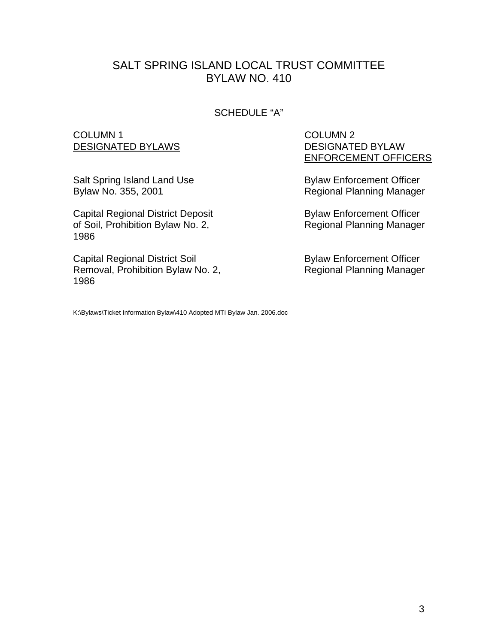#### SCHEDULE "A"

#### COLUMN 1 DESIGNATED BYLAWS

Salt Spring Island Land Use Bylaw No. 355, 2001

Capital Regional District Deposit of Soil, Prohibition Bylaw No. 2, 1986

Capital Regional District Soil Removal, Prohibition Bylaw No. 2, 1986

 COLUMN 2 DESIGNATED BYLAW ENFORCEMENT OFFICERS

Bylaw Enforcement Officer Regional Planning Manager

Bylaw Enforcement Officer Regional Planning Manager

Bylaw Enforcement Officer Regional Planning Manager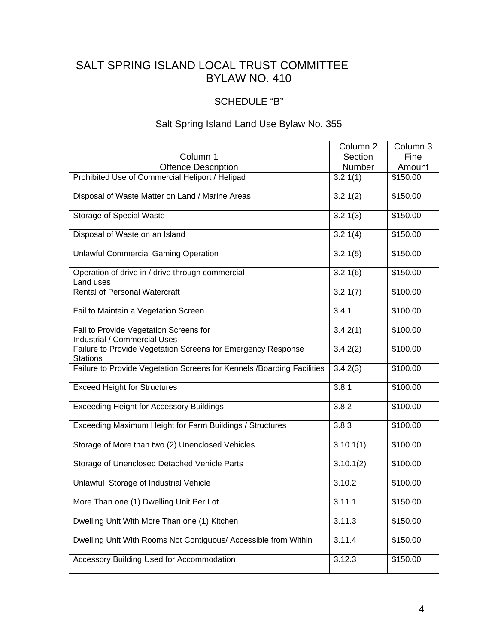## SCHEDULE "B"

## Salt Spring Island Land Use Bylaw No. 355

|                                                                                 | Column 2  | Column 3 |
|---------------------------------------------------------------------------------|-----------|----------|
| Column 1                                                                        | Section   | Fine     |
| <b>Offence Description</b>                                                      | Number    | Amount   |
| Prohibited Use of Commercial Heliport / Helipad                                 | 3.2.1(1)  | \$150.00 |
| Disposal of Waste Matter on Land / Marine Areas                                 | 3.2.1(2)  | \$150.00 |
| Storage of Special Waste                                                        | 3.2.1(3)  | \$150.00 |
| Disposal of Waste on an Island                                                  | 3.2.1(4)  | \$150.00 |
| <b>Unlawful Commercial Gaming Operation</b>                                     | 3.2.1(5)  | \$150.00 |
| Operation of drive in / drive through commercial<br>Land uses                   | 3.2.1(6)  | \$150.00 |
| <b>Rental of Personal Watercraft</b>                                            | 3.2.1(7)  | \$100.00 |
| Fail to Maintain a Vegetation Screen                                            | 3.4.1     | \$100.00 |
| Fail to Provide Vegetation Screens for<br>Industrial / Commercial Uses          | 3.4.2(1)  | \$100.00 |
| Failure to Provide Vegetation Screens for Emergency Response<br><b>Stations</b> | 3.4.2(2)  | \$100.00 |
| Failure to Provide Vegetation Screens for Kennels / Boarding Facilities         | 3.4.2(3)  | \$100.00 |
| <b>Exceed Height for Structures</b>                                             | 3.8.1     | \$100.00 |
| <b>Exceeding Height for Accessory Buildings</b>                                 | 3.8.2     | \$100.00 |
| Exceeding Maximum Height for Farm Buildings / Structures                        | 3.8.3     | \$100.00 |
| Storage of More than two (2) Unenclosed Vehicles                                | 3.10.1(1) | \$100.00 |
| Storage of Unenclosed Detached Vehicle Parts                                    | 3.10.1(2) | \$100.00 |
| Unlawful Storage of Industrial Vehicle                                          | 3.10.2    | \$100.00 |
| More Than one (1) Dwelling Unit Per Lot                                         | 3.11.1    | \$150.00 |
| Dwelling Unit With More Than one (1) Kitchen                                    | 3.11.3    | \$150.00 |
| Dwelling Unit With Rooms Not Contiguous/ Accessible from Within                 | 3.11.4    | \$150.00 |
| Accessory Building Used for Accommodation                                       | 3.12.3    | \$150.00 |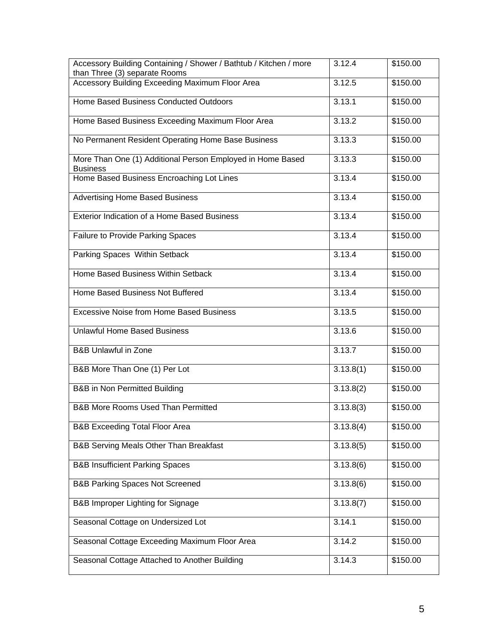| Accessory Building Containing / Shower / Bathtub / Kitchen / more<br>than Three (3) separate Rooms | 3.12.4    | \$150.00 |
|----------------------------------------------------------------------------------------------------|-----------|----------|
| Accessory Building Exceeding Maximum Floor Area                                                    | 3.12.5    | \$150.00 |
| Home Based Business Conducted Outdoors                                                             | 3.13.1    | \$150.00 |
| Home Based Business Exceeding Maximum Floor Area                                                   | 3.13.2    | \$150.00 |
| No Permanent Resident Operating Home Base Business                                                 | 3.13.3    | \$150.00 |
| More Than One (1) Additional Person Employed in Home Based<br><b>Business</b>                      | 3.13.3    | \$150.00 |
| Home Based Business Encroaching Lot Lines                                                          | 3.13.4    | \$150.00 |
| <b>Advertising Home Based Business</b>                                                             | 3.13.4    | \$150.00 |
| <b>Exterior Indication of a Home Based Business</b>                                                | 3.13.4    | \$150.00 |
| <b>Failure to Provide Parking Spaces</b>                                                           | 3.13.4    | \$150.00 |
| Parking Spaces Within Setback                                                                      | 3.13.4    | \$150.00 |
| Home Based Business Within Setback                                                                 | 3.13.4    | \$150.00 |
| Home Based Business Not Buffered                                                                   | 3.13.4    | \$150.00 |
| <b>Excessive Noise from Home Based Business</b>                                                    | 3.13.5    | \$150.00 |
| <b>Unlawful Home Based Business</b>                                                                | 3.13.6    | \$150.00 |
| <b>B&amp;B Unlawful in Zone</b>                                                                    | 3.13.7    | \$150.00 |
| B&B More Than One (1) Per Lot                                                                      | 3.13.8(1) | \$150.00 |
| <b>B&amp;B</b> in Non Permitted Building                                                           | 3.13.8(2) | \$150.00 |
| <b>B&amp;B More Rooms Used Than Permitted</b>                                                      | 3.13.8(3) | \$150.00 |
| <b>B&amp;B Exceeding Total Floor Area</b>                                                          | 3.13.8(4) | \$150.00 |
| B&B Serving Meals Other Than Breakfast                                                             | 3.13.8(5) | \$150.00 |
| <b>B&amp;B Insufficient Parking Spaces</b>                                                         | 3.13.8(6) | \$150.00 |
| <b>B&amp;B Parking Spaces Not Screened</b>                                                         | 3.13.8(6) | \$150.00 |
| <b>B&amp;B Improper Lighting for Signage</b>                                                       | 3.13.8(7) | \$150.00 |
| Seasonal Cottage on Undersized Lot                                                                 | 3.14.1    | \$150.00 |
| Seasonal Cottage Exceeding Maximum Floor Area                                                      | 3.14.2    | \$150.00 |
| Seasonal Cottage Attached to Another Building                                                      | 3.14.3    | \$150.00 |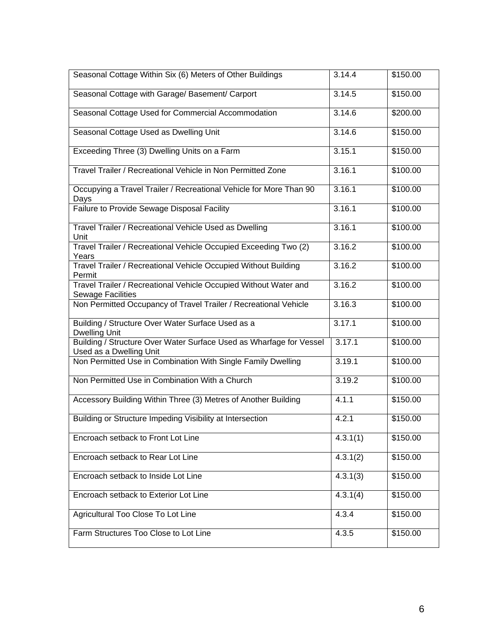| Seasonal Cottage Within Six (6) Meters of Other Buildings                                      | 3.14.4   | \$150.00 |
|------------------------------------------------------------------------------------------------|----------|----------|
| Seasonal Cottage with Garage/ Basement/ Carport                                                | 3.14.5   | \$150.00 |
| Seasonal Cottage Used for Commercial Accommodation                                             | 3.14.6   | \$200.00 |
| Seasonal Cottage Used as Dwelling Unit                                                         | 3.14.6   | \$150.00 |
| Exceeding Three (3) Dwelling Units on a Farm                                                   | 3.15.1   | \$150.00 |
| Travel Trailer / Recreational Vehicle in Non Permitted Zone                                    | 3.16.1   | \$100.00 |
| Occupying a Travel Trailer / Recreational Vehicle for More Than 90<br>Days                     | 3.16.1   | \$100.00 |
| Failure to Provide Sewage Disposal Facility                                                    | 3.16.1   | \$100.00 |
| Travel Trailer / Recreational Vehicle Used as Dwelling<br>Unit                                 | 3.16.1   | \$100.00 |
| Travel Trailer / Recreational Vehicle Occupied Exceeding Two (2)<br>Years                      | 3.16.2   | \$100.00 |
| Travel Trailer / Recreational Vehicle Occupied Without Building<br>Permit                      | 3.16.2   | \$100.00 |
| Travel Trailer / Recreational Vehicle Occupied Without Water and<br><b>Sewage Facilities</b>   | 3.16.2   | \$100.00 |
| Non Permitted Occupancy of Travel Trailer / Recreational Vehicle                               | 3.16.3   | \$100.00 |
| Building / Structure Over Water Surface Used as a<br><b>Dwelling Unit</b>                      | 3.17.1   | \$100.00 |
| Building / Structure Over Water Surface Used as Wharfage for Vessel<br>Used as a Dwelling Unit | 3.17.1   | \$100.00 |
| Non Permitted Use in Combination With Single Family Dwelling                                   | 3.19.1   | \$100.00 |
| Non Permitted Use in Combination With a Church                                                 | 3.19.2   | \$100.00 |
| Accessory Building Within Three (3) Metres of Another Building                                 | 4.1.1    | \$150.00 |
| Building or Structure Impeding Visibility at Intersection                                      | 4.2.1    | \$150.00 |
| Encroach setback to Front Lot Line                                                             | 4.3.1(1) | \$150.00 |
| Encroach setback to Rear Lot Line                                                              | 4.3.1(2) | \$150.00 |
| Encroach setback to Inside Lot Line                                                            | 4.3.1(3) | \$150.00 |
| Encroach setback to Exterior Lot Line                                                          | 4.3.1(4) | \$150.00 |
| Agricultural Too Close To Lot Line                                                             | 4.3.4    | \$150.00 |
| Farm Structures Too Close to Lot Line                                                          | 4.3.5    | \$150.00 |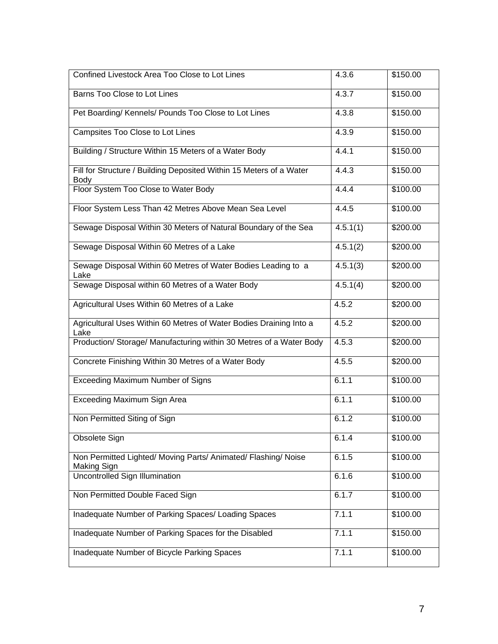| Confined Livestock Area Too Close to Lot Lines                                       | 4.3.6                 | \$150.00 |
|--------------------------------------------------------------------------------------|-----------------------|----------|
| Barns Too Close to Lot Lines                                                         | 4.3.7                 | \$150.00 |
| Pet Boarding/Kennels/Pounds Too Close to Lot Lines                                   | 4.3.8                 | \$150.00 |
| Campsites Too Close to Lot Lines                                                     | 4.3.9                 | \$150.00 |
| Building / Structure Within 15 Meters of a Water Body                                | 4.4.1                 | \$150.00 |
| Fill for Structure / Building Deposited Within 15 Meters of a Water<br>Body          | 4.4.3                 | \$150.00 |
| Floor System Too Close to Water Body                                                 | 4.4.4                 | \$100.00 |
| Floor System Less Than 42 Metres Above Mean Sea Level                                | 4.4.5                 | \$100.00 |
| Sewage Disposal Within 30 Meters of Natural Boundary of the Sea                      | $\overline{4.5.1(1)}$ | \$200.00 |
| Sewage Disposal Within 60 Metres of a Lake                                           | 4.5.1(2)              | \$200.00 |
| Sewage Disposal Within 60 Metres of Water Bodies Leading to a<br>Lake                | 4.5.1(3)              | \$200.00 |
| Sewage Disposal within 60 Metres of a Water Body                                     | 4.5.1(4)              | \$200.00 |
| Agricultural Uses Within 60 Metres of a Lake                                         | 4.5.2                 | \$200.00 |
| Agricultural Uses Within 60 Metres of Water Bodies Draining Into a<br>Lake           | 4.5.2                 | \$200.00 |
| Production/ Storage/ Manufacturing within 30 Metres of a Water Body                  | 4.5.3                 | \$200.00 |
| Concrete Finishing Within 30 Metres of a Water Body                                  | 4.5.5                 | \$200.00 |
| <b>Exceeding Maximum Number of Signs</b>                                             | 6.1.1                 | \$100.00 |
| Exceeding Maximum Sign Area                                                          | 6.1.1                 | \$100.00 |
| Non Permitted Siting of Sign                                                         | 6.1.2                 | \$100.00 |
| Obsolete Sign                                                                        | 6.1.4                 | \$100.00 |
| Non Permitted Lighted/ Moving Parts/ Animated/ Flashing/ Noise<br><b>Making Sign</b> | 6.1.5                 | \$100.00 |
| <b>Uncontrolled Sign Illumination</b>                                                | 6.1.6                 | \$100.00 |
| Non Permitted Double Faced Sign                                                      | 6.1.7                 | \$100.00 |
| Inadequate Number of Parking Spaces/ Loading Spaces                                  | 7.1.1                 | \$100.00 |
| Inadequate Number of Parking Spaces for the Disabled                                 | 7.1.1                 | \$150.00 |
| Inadequate Number of Bicycle Parking Spaces                                          | 7.1.1                 | \$100.00 |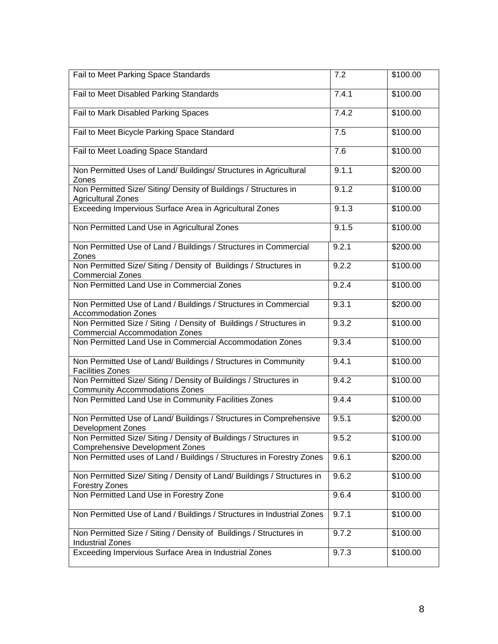| Fail to Meet Parking Space Standards                                                                        | 7.2   | \$100.00 |
|-------------------------------------------------------------------------------------------------------------|-------|----------|
| Fail to Meet Disabled Parking Standards                                                                     | 7.4.1 | \$100.00 |
| Fail to Mark Disabled Parking Spaces                                                                        | 7.4.2 | \$100.00 |
| Fail to Meet Bicycle Parking Space Standard                                                                 | 7.5   | \$100.00 |
| Fail to Meet Loading Space Standard                                                                         | 7.6   | \$100.00 |
| Non Permitted Uses of Land/ Buildings/ Structures in Agricultural<br>Zones                                  | 9.1.1 | \$200.00 |
| Non Permitted Size/ Siting/ Density of Buildings / Structures in<br><b>Agricultural Zones</b>               | 9.1.2 | \$100.00 |
| Exceeding Impervious Surface Area in Agricultural Zones                                                     | 9.1.3 | \$100.00 |
| Non Permitted Land Use in Agricultural Zones                                                                | 9.1.5 | \$100.00 |
| Non Permitted Use of Land / Buildings / Structures in Commercial<br>Zones                                   | 9.2.1 | \$200.00 |
| Non Permitted Size/ Siting / Density of Buildings / Structures in<br><b>Commercial Zones</b>                | 9.2.2 | \$100.00 |
| Non Permitted Land Use in Commercial Zones                                                                  | 9.2.4 | \$100.00 |
| Non Permitted Use of Land / Buildings / Structures in Commercial<br><b>Accommodation Zones</b>              | 9.3.1 | \$200.00 |
| Non Permitted Size / Siting / Density of Buildings / Structures in<br><b>Commercial Accommodation Zones</b> | 9.3.2 | \$100.00 |
| Non Permitted Land Use in Commercial Accommodation Zones                                                    | 9.3.4 | \$100.00 |
| Non Permitted Use of Land/ Buildings / Structures in Community<br><b>Facilities Zones</b>                   | 9.4.1 | \$100.00 |
| Non Permitted Size/ Siting / Density of Buildings / Structures in<br><b>Community Accommodations Zones</b>  | 9.4.2 | \$100.00 |
| Non Permitted Land Use in Community Facilities Zones                                                        | 9.4.4 | \$100.00 |
| Non Permitted Use of Land/ Buildings / Structures in Comprehensive<br><b>Development Zones</b>              | 9.5.1 | \$200.00 |
| Non Permitted Size/ Siting / Density of Buildings / Structures in<br><b>Comprehensive Development Zones</b> | 9.5.2 | \$100.00 |
| Non Permitted uses of Land / Buildings / Structures in Forestry Zones                                       | 9.6.1 | \$200.00 |
| Non Permitted Size/ Siting / Density of Land/ Buildings / Structures in<br><b>Forestry Zones</b>            | 9.6.2 | \$100.00 |
| Non Permitted Land Use in Forestry Zone                                                                     | 9.6.4 | \$100.00 |
| Non Permitted Use of Land / Buildings / Structures in Industrial Zones                                      | 9.7.1 | \$100.00 |
| Non Permitted Size / Siting / Density of Buildings / Structures in<br><b>Industrial Zones</b>               | 9.7.2 | \$100.00 |
| Exceeding Impervious Surface Area in Industrial Zones                                                       | 9.7.3 | \$100.00 |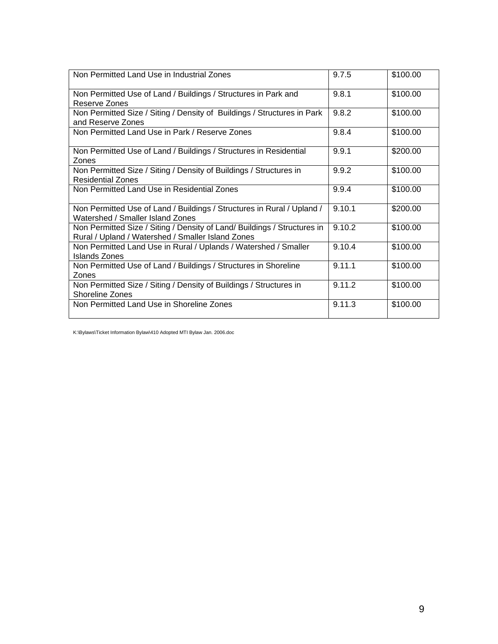| Non Permitted Land Use in Industrial Zones                                                                                    | 9.7.5  | \$100.00 |
|-------------------------------------------------------------------------------------------------------------------------------|--------|----------|
| Non Permitted Use of Land / Buildings / Structures in Park and<br>Reserve Zones                                               | 9.8.1  | \$100.00 |
| Non Permitted Size / Siting / Density of Buildings / Structures in Park<br>and Reserve Zones                                  | 9.8.2  | \$100.00 |
| Non Permitted Land Use in Park / Reserve Zones                                                                                | 9.8.4  | \$100.00 |
| Non Permitted Use of Land / Buildings / Structures in Residential<br>Zones                                                    | 9.9.1  | \$200.00 |
| Non Permitted Size / Siting / Density of Buildings / Structures in<br><b>Residential Zones</b>                                | 9.9.2  | \$100.00 |
| Non Permitted Land Use in Residential Zones                                                                                   | 9.9.4  | \$100.00 |
| Non Permitted Use of Land / Buildings / Structures in Rural / Upland /<br>Watershed / Smaller Island Zones                    | 9.10.1 | \$200.00 |
| Non Permitted Size / Siting / Density of Land/ Buildings / Structures in<br>Rural / Upland / Watershed / Smaller Island Zones | 9.10.2 | \$100.00 |
| Non Permitted Land Use in Rural / Uplands / Watershed / Smaller<br>Islands Zones                                              | 9.10.4 | \$100.00 |
| Non Permitted Use of Land / Buildings / Structures in Shoreline<br>Zones                                                      | 9.11.1 | \$100.00 |
| Non Permitted Size / Siting / Density of Buildings / Structures in<br>Shoreline Zones                                         | 9.11.2 | \$100.00 |
| Non Permitted Land Use in Shoreline Zones                                                                                     | 9.11.3 | \$100.00 |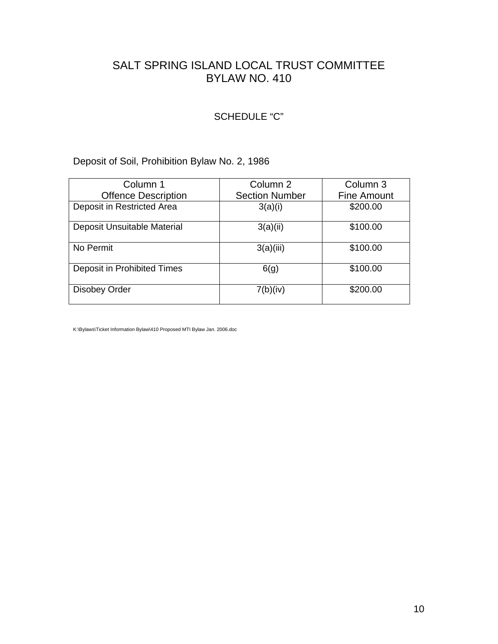#### SCHEDULE "C"

## Deposit of Soil, Prohibition Bylaw No. 2, 1986

| Column 1                    | Column 2              | Column 3           |
|-----------------------------|-----------------------|--------------------|
| <b>Offence Description</b>  | <b>Section Number</b> | <b>Fine Amount</b> |
| Deposit in Restricted Area  | 3(a)(i)               | \$200.00           |
| Deposit Unsuitable Material | 3(a)(ii)              | \$100.00           |
| No Permit                   | 3(a)(iii)             | \$100.00           |
| Deposit in Prohibited Times | 6(g)                  | \$100.00           |
| <b>Disobey Order</b>        | 7(b)(iv)              | \$200.00           |